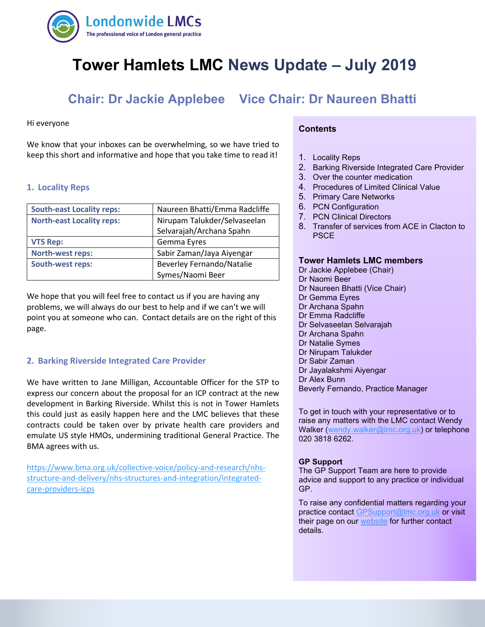

# **Tower Hamlets LMC News Update – July 2019**

## **Chair: Dr Jackie Applebee Vice Chair: Dr Naureen Bhatti**

#### Hi everyone

 keep this short and informative and hope that you take time to read it! We know that your inboxes can be overwhelming, so we have tried to

#### **1. Locality Reps**

| <b>South-east Locality reps:</b> | Naureen Bhatti/Emma Radcliffe    |
|----------------------------------|----------------------------------|
| <b>North-east Locality reps:</b> | Nirupam Talukder/Selvaseelan     |
|                                  | Selvarajah/Archana Spahn         |
| <b>VTS Rep:</b>                  | Gemma Eyres                      |
| <b>North-west reps:</b>          | Sabir Zaman/Jaya Aiyengar        |
| <b>South-west reps:</b>          | <b>Beverley Fernando/Natalie</b> |
|                                  | Symes/Naomi Beer                 |

We hope that you will feel free to contact us if you are having any problems, we will always do our best to help and if we can't we will point you at someone who can. Contact details are on the right of this page.

#### **2. Barking Riverside Integrated Care Provider**

We have written to Jane Milligan, Accountable Officer for the STP to express our concern about the proposal for an ICP contract at the new development in Barking Riverside. Whilst this is not in Tower Hamlets this could just as easily happen here and the LMC believes that these contracts could be taken over by private health care providers and emulate US style HMOs, undermining traditional General Practice. The BMA agrees with us.

[https://www.bma.org.uk/collective-voice/policy-and-research/nhs](https://www.bma.org.uk/collective-voice/policy-and-research/nhs-structure-and-delivery/nhs-structures-and-integration/integrated-care-providers-icps)[structure-and-delivery/nhs-structures-and-integration/integrated](https://www.bma.org.uk/collective-voice/policy-and-research/nhs-structure-and-delivery/nhs-structures-and-integration/integrated-care-providers-icps)[care-providers-icps](https://www.bma.org.uk/collective-voice/policy-and-research/nhs-structure-and-delivery/nhs-structures-and-integration/integrated-care-providers-icps)

#### **Contents**

- 1. Locality Reps
- 2. Barking Riverside Integrated Care Provider
- 3. Over the counter medication
- 4. Procedures of Limited Clinical Value
- 5. Primary Care Networks
- 6. PCN Configuration
- 7. PCN Clinical Directors
- 8. Transfer of services from ACE in Clacton to **PSCE**

#### **Tower Hamlets LMC members**

Dr Jackie Applebee (Chair) Dr Naomi Beer Dr Naureen Bhatti (Vice Chair) Dr Gemma Eyres Dr Archana Spahn Dr Emma Radcliffe Dr Selvaseelan Selvarajah Dr Archana Spahn Dr Natalie Symes Dr Nirupam Talukder Dr Sabir Zaman Dr Jayalakshmi Aiyengar Dr Alex Bunn Beverly Fernando, Practice Manager To get in touch with your representative or to

raise any matters with the LMC contact Wendy Walker [\(wendy.walker@lmc.org.uk\)](mailto:wendy.walker@lmc.org.uk) or telephone 020 3818 6262.

#### **GP Support**

The GP Support Team are here to provide advice and support to any practice or individual GP.

To raise any confidential matters regarding your practice contact [GPSupport@lmc.org.uk](mailto:GPSupport@lmc.org.uk) or visit their page on our [website](https://www.lmc.org.uk/page.php?id=39) for further contact details.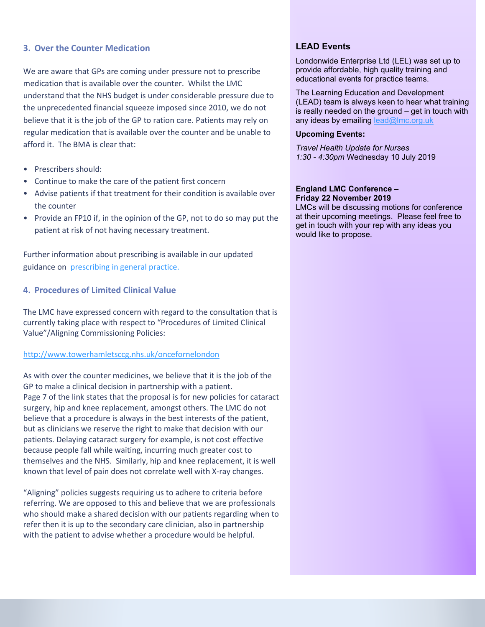#### **3. Over the Counter Medication**

We are aware that GPs are coming under pressure not to prescribe medication that is available over the counter. Whilst the LMC understand that the NHS budget is under considerable pressure due to the unprecedented financial squeeze imposed since 2010, we do not believe that it is the job of the GP to ration care. Patients may rely on regular medication that is available over the counter and be unable to afford it. The BMA is clear that:

- Prescribers should:
- Continue to make the care of the patient first concern
- Advise patients if that treatment for their condition is available over the counter
- Provide an FP10 if, in the opinion of the GP, not to do so may put the patient at risk of not having necessary treatment.

Further information about prescribing is available in our updated guidance on [prescribing in general practice.](https://www.bma.org.uk/advice/employment/gp-practices/service-provision/prescribing/prescribing-in-general-practice)

#### **4. Procedures of Limited Clinical Value**

The LMC have expressed concern with regard to the consultation that is currently taking place with respect to "Procedures of Limited Clinical Value"/Aligning Commissioning Policies:

#### <http://www.towerhamletsccg.nhs.uk/oncefornelondon>

As with over the counter medicines, we believe that it is the job of the GP to make a clinical decision in partnership with a patient. Page 7 of the link states that the proposal is for new policies for cataract surgery, hip and knee replacement, amongst others. The LMC do not believe that a procedure is always in the best interests of the patient, but as clinicians we reserve the right to make that decision with our patients. Delaying cataract surgery for example, is not cost effective because people fall while waiting, incurring much greater cost to themselves and the NHS. Similarly, hip and knee replacement, it is well known that level of pain does not correlate well with X-ray changes.

"Aligning" policies suggests requiring us to adhere to criteria before referring. We are opposed to this and believe that we are professionals who should make a shared decision with our patients regarding when to refer then it is up to the secondary care clinician, also in partnership with the patient to advise whether a procedure would be helpful.

### **LEAD Events**

Londonwide Enterprise Ltd (LEL) was set up to provide affordable, high quality training and educational events for practice teams.

The Learning Education and Development (LEAD) team is always keen to hear what training is really needed on the ground – get in touch with any ideas by emailing lead@lmc.org.uk

#### **Upcoming Events:**

*Travel Health Update for Nurses 1:30 - 4:30pm* Wednesday 10 July 2019

#### **England LMC Conference – Friday 22 November 2019**

LMCs will be discussing motions for conference at their upcoming meetings. Please feel free to get in touch with your rep with any ideas you would like to propose.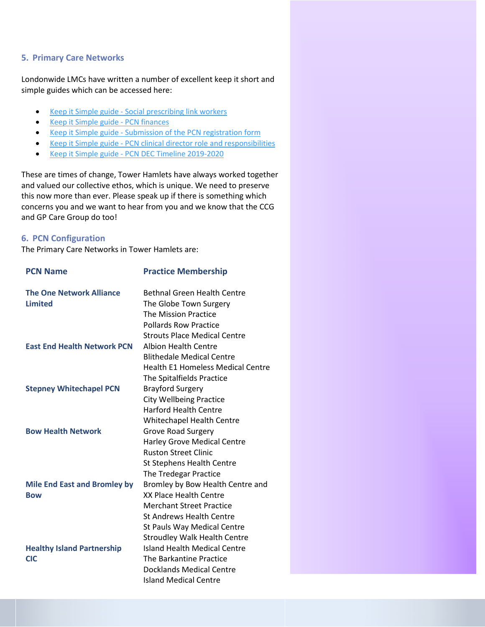#### **5. Primary Care Networks**

Londonwide LMCs have written a number of excellent keep it short and simple guides which can be accessed here:

- Keep it Simple guide [Social prescribing link workers](https://www.lmc.org.uk/visageimages/GP%20Contract%202019/KIS_Social_Prescriber_V1.pdf)
- Keep it [Simple guide -](https://www.lmc.org.uk/visageimages/GP%20Contract%202019/KISPCNFinancesv1.pdf) PCN finances
- Keep it Simple guide [Submission of the PCN registration form](https://www.lmc.org.uk/visageimages/GP%20Contract%202019/KIS_PCN_DES_v1.pdf)
- Keep it Simple guide [PCN clinical director role and responsibilities](https://www.lmc.org.uk/visageimages/GP%20Contract%202019/KIS_Clinical_Director_JD_v1.pdf)
- Keep it Simple guide [PCN DEC Timeline 2019-2020](https://www.lmc.org.uk/visageimages/GP%20Contract%202019/KIS_PCN%20deadlines%20v1%20June%202019%20update.pdf)

These are times of change, Tower Hamlets have always worked together and valued our collective ethos, which is unique. We need to preserve this now more than ever. Please speak up if there is something which concerns you and we want to hear from you and we know that the CCG and GP Care Group do too!

#### **6. PCN Configuration**

The Primary Care Networks in Tower Hamlets are:

| <b>PCN Name</b>                     | <b>Practice Membership</b>               |
|-------------------------------------|------------------------------------------|
| <b>The One Network Alliance</b>     | <b>Bethnal Green Health Centre</b>       |
| <b>Limited</b>                      | The Globe Town Surgery                   |
|                                     | <b>The Mission Practice</b>              |
|                                     | <b>Pollards Row Practice</b>             |
|                                     | <b>Strouts Place Medical Centre</b>      |
| <b>East End Health Network PCN</b>  | <b>Albion Health Centre</b>              |
|                                     | <b>Blithedale Medical Centre</b>         |
|                                     | <b>Health E1 Homeless Medical Centre</b> |
|                                     | The Spitalfields Practice                |
| <b>Stepney Whitechapel PCN</b>      | <b>Brayford Surgery</b>                  |
|                                     | <b>City Wellbeing Practice</b>           |
|                                     | <b>Harford Health Centre</b>             |
|                                     | <b>Whitechapel Health Centre</b>         |
| <b>Bow Health Network</b>           | <b>Grove Road Surgery</b>                |
|                                     | <b>Harley Grove Medical Centre</b>       |
|                                     | <b>Ruston Street Clinic</b>              |
|                                     | <b>St Stephens Health Centre</b>         |
|                                     | The Tredegar Practice                    |
| <b>Mile End East and Bromley by</b> | Bromley by Bow Health Centre and         |
| <b>Bow</b>                          | <b>XX Place Health Centre</b>            |
|                                     | <b>Merchant Street Practice</b>          |
|                                     | <b>St Andrews Health Centre</b>          |
|                                     | St Pauls Way Medical Centre              |
|                                     | <b>Stroudley Walk Health Centre</b>      |
| <b>Healthy Island Partnership</b>   | <b>Island Health Medical Centre</b>      |
| <b>CIC</b>                          | The Barkantine Practice                  |
|                                     | Docklands Medical Centre                 |
|                                     | <b>Island Medical Centre</b>             |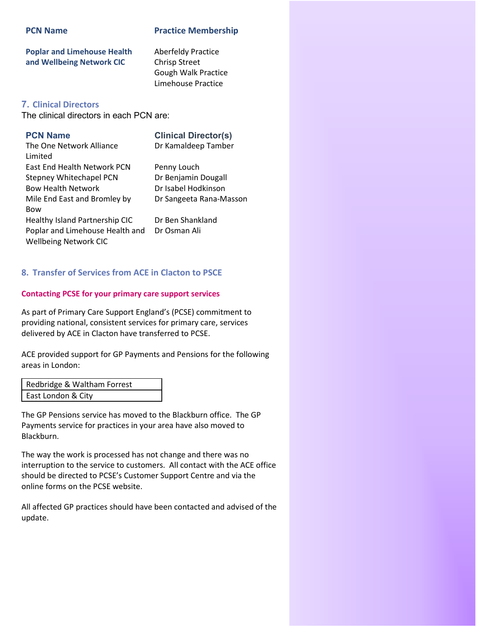#### **PCN Name Practice Membership**

**Poplar and Limehouse Health and Wellbeing Network CIC**

Aberfeldy Practice Chrisp Street Gough Walk Practice Limehouse Practice

### **7. Clinical Directors**

The clinical directors in each PCN are:

**PCN Name Clinical Director(s)** Dr Kamaldeep Tamber

The One Network Alliance Limited East End Health Network PCN Penny Louch Stepney Whitechapel PCN Dr Benjamin Dougall Bow Health Network Dr Isabel Hodkinson Mile End East and Bromley by Bow Healthy Island Partnership CIC Dr Ben Shankland Poplar and Limehouse Health and Wellbeing Network CIC

Dr Sangeeta Rana-Masson

Dr Osman Ali

#### **8. Transfer of Services from ACE in Clacton to PSCE**

#### **Contacting PCSE for your primary care support services**

As part of Primary Care Support England's (PCSE) commitment to providing national, consistent services for primary care, services delivered by ACE in Clacton have transferred to PCSE.

ACE provided support for GP Payments and Pensions for the following areas in London:

| Redbridge & Waltham Forrest |  |
|-----------------------------|--|
| East London & City          |  |

The GP Pensions service has moved to the Blackburn office. The GP Payments service for practices in your area have also moved to Blackburn.

The way the work is processed has not change and there was no interruption to the service to customers. All contact with the ACE office should be directed to PCSE's Customer Support Centre and via the online forms on the PCSE website.

All affected GP practices should have been contacted and advised of the update.